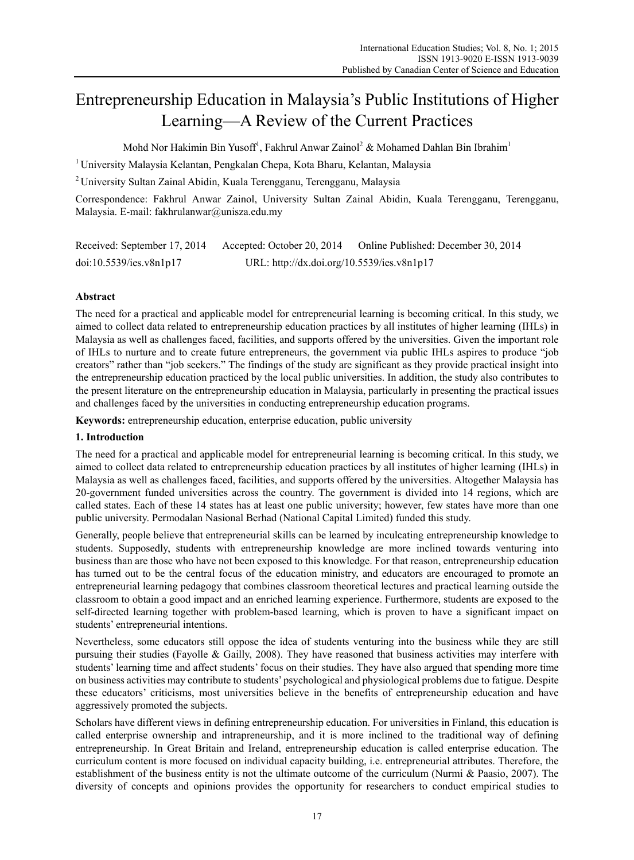# Entrepreneurship Education in Malaysia's Public Institutions of Higher Learning—A Review of the Current Practices

Mohd Nor Hakimin Bin Yusoff<sup>1</sup>, Fakhrul Anwar Zainol<sup>2</sup> & Mohamed Dahlan Bin Ibrahim<sup>1</sup>

1 University Malaysia Kelantan, Pengkalan Chepa, Kota Bharu, Kelantan, Malaysia

2 University Sultan Zainal Abidin, Kuala Terengganu, Terengganu, Malaysia

Correspondence: Fakhrul Anwar Zainol, University Sultan Zainal Abidin, Kuala Terengganu, Terengganu, Malaysia. E-mail: fakhrulanwar@unisza.edu.my

| Received: September 17, 2014 | Accepted: October 20, 2014                 | Online Published: December 30, 2014 |
|------------------------------|--------------------------------------------|-------------------------------------|
| doi:10.5539/ies.v8n1p17      | URL: http://dx.doi.org/10.5539/ies.v8n1p17 |                                     |

# **Abstract**

The need for a practical and applicable model for entrepreneurial learning is becoming critical. In this study, we aimed to collect data related to entrepreneurship education practices by all institutes of higher learning (IHLs) in Malaysia as well as challenges faced, facilities, and supports offered by the universities. Given the important role of IHLs to nurture and to create future entrepreneurs, the government via public IHLs aspires to produce "job creators" rather than "job seekers." The findings of the study are significant as they provide practical insight into the entrepreneurship education practiced by the local public universities. In addition, the study also contributes to the present literature on the entrepreneurship education in Malaysia, particularly in presenting the practical issues and challenges faced by the universities in conducting entrepreneurship education programs.

**Keywords:** entrepreneurship education, enterprise education, public university

# **1. Introduction**

The need for a practical and applicable model for entrepreneurial learning is becoming critical. In this study, we aimed to collect data related to entrepreneurship education practices by all institutes of higher learning (IHLs) in Malaysia as well as challenges faced, facilities, and supports offered by the universities. Altogether Malaysia has 20-government funded universities across the country. The government is divided into 14 regions, which are called states. Each of these 14 states has at least one public university; however, few states have more than one public university. Permodalan Nasional Berhad (National Capital Limited) funded this study.

Generally, people believe that entrepreneurial skills can be learned by inculcating entrepreneurship knowledge to students. Supposedly, students with entrepreneurship knowledge are more inclined towards venturing into business than are those who have not been exposed to this knowledge. For that reason, entrepreneurship education has turned out to be the central focus of the education ministry, and educators are encouraged to promote an entrepreneurial learning pedagogy that combines classroom theoretical lectures and practical learning outside the classroom to obtain a good impact and an enriched learning experience. Furthermore, students are exposed to the self-directed learning together with problem-based learning, which is proven to have a significant impact on students' entrepreneurial intentions.

Nevertheless, some educators still oppose the idea of students venturing into the business while they are still pursuing their studies (Fayolle & Gailly, 2008). They have reasoned that business activities may interfere with students' learning time and affect students' focus on their studies. They have also argued that spending more time on business activities may contribute to students' psychological and physiological problems due to fatigue. Despite these educators' criticisms, most universities believe in the benefits of entrepreneurship education and have aggressively promoted the subjects.

Scholars have different views in defining entrepreneurship education. For universities in Finland, this education is called enterprise ownership and intrapreneurship, and it is more inclined to the traditional way of defining entrepreneurship. In Great Britain and Ireland, entrepreneurship education is called enterprise education. The curriculum content is more focused on individual capacity building, i.e. entrepreneurial attributes. Therefore, the establishment of the business entity is not the ultimate outcome of the curriculum (Nurmi & Paasio, 2007). The diversity of concepts and opinions provides the opportunity for researchers to conduct empirical studies to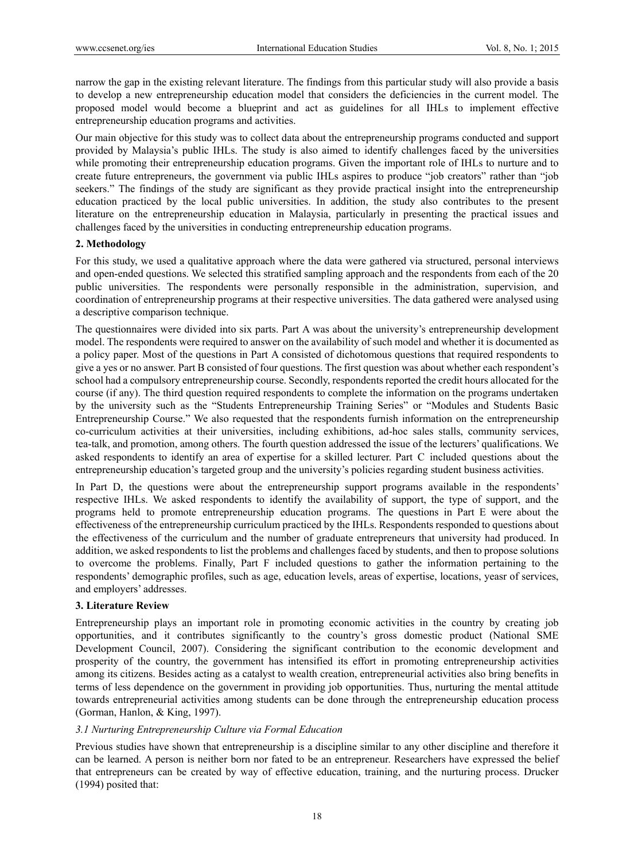narrow the gap in the existing relevant literature. The findings from this particular study will also provide a basis to develop a new entrepreneurship education model that considers the deficiencies in the current model. The proposed model would become a blueprint and act as guidelines for all IHLs to implement effective entrepreneurship education programs and activities.

Our main objective for this study was to collect data about the entrepreneurship programs conducted and support provided by Malaysia's public IHLs. The study is also aimed to identify challenges faced by the universities while promoting their entrepreneurship education programs. Given the important role of IHLs to nurture and to create future entrepreneurs, the government via public IHLs aspires to produce "job creators" rather than "job seekers." The findings of the study are significant as they provide practical insight into the entrepreneurship education practiced by the local public universities. In addition, the study also contributes to the present literature on the entrepreneurship education in Malaysia, particularly in presenting the practical issues and challenges faced by the universities in conducting entrepreneurship education programs.

# **2. Methodology**

For this study, we used a qualitative approach where the data were gathered via structured, personal interviews and open-ended questions. We selected this stratified sampling approach and the respondents from each of the 20 public universities. The respondents were personally responsible in the administration, supervision, and coordination of entrepreneurship programs at their respective universities. The data gathered were analysed using a descriptive comparison technique.

The questionnaires were divided into six parts. Part A was about the university's entrepreneurship development model. The respondents were required to answer on the availability of such model and whether it is documented as a policy paper. Most of the questions in Part A consisted of dichotomous questions that required respondents to give a yes or no answer. Part B consisted of four questions. The first question was about whether each respondent's school had a compulsory entrepreneurship course. Secondly, respondents reported the credit hours allocated for the course (if any). The third question required respondents to complete the information on the programs undertaken by the university such as the "Students Entrepreneurship Training Series" or "Modules and Students Basic Entrepreneurship Course." We also requested that the respondents furnish information on the entrepreneurship co-curriculum activities at their universities, including exhibitions, ad-hoc sales stalls, community services, tea-talk, and promotion, among others. The fourth question addressed the issue of the lecturers' qualifications. We asked respondents to identify an area of expertise for a skilled lecturer. Part C included questions about the entrepreneurship education's targeted group and the university's policies regarding student business activities.

In Part D, the questions were about the entrepreneurship support programs available in the respondents' respective IHLs. We asked respondents to identify the availability of support, the type of support, and the programs held to promote entrepreneurship education programs. The questions in Part E were about the effectiveness of the entrepreneurship curriculum practiced by the IHLs. Respondents responded to questions about the effectiveness of the curriculum and the number of graduate entrepreneurs that university had produced. In addition, we asked respondents to list the problems and challenges faced by students, and then to propose solutions to overcome the problems. Finally, Part F included questions to gather the information pertaining to the respondents' demographic profiles, such as age, education levels, areas of expertise, locations, yeasr of services, and employers' addresses.

# **3. Literature Review**

Entrepreneurship plays an important role in promoting economic activities in the country by creating job opportunities, and it contributes significantly to the country's gross domestic product (National SME Development Council, 2007). Considering the significant contribution to the economic development and prosperity of the country, the government has intensified its effort in promoting entrepreneurship activities among its citizens. Besides acting as a catalyst to wealth creation, entrepreneurial activities also bring benefits in terms of less dependence on the government in providing job opportunities. Thus, nurturing the mental attitude towards entrepreneurial activities among students can be done through the entrepreneurship education process (Gorman, Hanlon, & King, 1997).

# *3.1 Nurturing Entrepreneurship Culture via Formal Education*

Previous studies have shown that entrepreneurship is a discipline similar to any other discipline and therefore it can be learned. A person is neither born nor fated to be an entrepreneur. Researchers have expressed the belief that entrepreneurs can be created by way of effective education, training, and the nurturing process. Drucker (1994) posited that: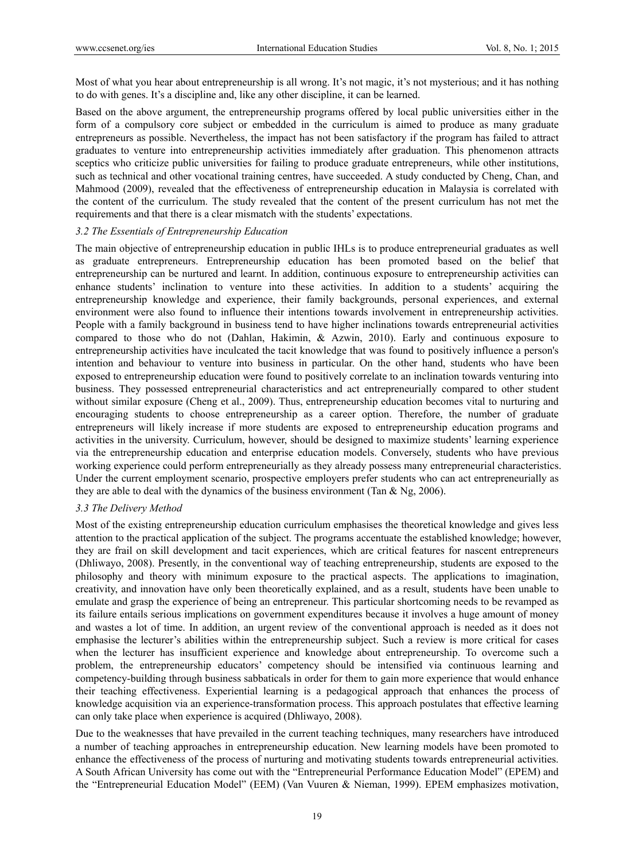Most of what you hear about entrepreneurship is all wrong. It's not magic, it's not mysterious; and it has nothing to do with genes. It's a discipline and, like any other discipline, it can be learned.

Based on the above argument, the entrepreneurship programs offered by local public universities either in the form of a compulsory core subject or embedded in the curriculum is aimed to produce as many graduate entrepreneurs as possible. Nevertheless, the impact has not been satisfactory if the program has failed to attract graduates to venture into entrepreneurship activities immediately after graduation. This phenomenon attracts sceptics who criticize public universities for failing to produce graduate entrepreneurs, while other institutions, such as technical and other vocational training centres, have succeeded. A study conducted by Cheng, Chan, and Mahmood (2009), revealed that the effectiveness of entrepreneurship education in Malaysia is correlated with the content of the curriculum. The study revealed that the content of the present curriculum has not met the requirements and that there is a clear mismatch with the students' expectations.

#### *3.2 The Essentials of Entrepreneurship Education*

The main objective of entrepreneurship education in public IHLs is to produce entrepreneurial graduates as well as graduate entrepreneurs. Entrepreneurship education has been promoted based on the belief that entrepreneurship can be nurtured and learnt. In addition, continuous exposure to entrepreneurship activities can enhance students' inclination to venture into these activities. In addition to a students' acquiring the entrepreneurship knowledge and experience, their family backgrounds, personal experiences, and external environment were also found to influence their intentions towards involvement in entrepreneurship activities. People with a family background in business tend to have higher inclinations towards entrepreneurial activities compared to those who do not (Dahlan, Hakimin, & Azwin, 2010). Early and continuous exposure to entrepreneurship activities have inculcated the tacit knowledge that was found to positively influence a person's intention and behaviour to venture into business in particular. On the other hand, students who have been exposed to entrepreneurship education were found to positively correlate to an inclination towards venturing into business. They possessed entrepreneurial characteristics and act entrepreneurially compared to other student without similar exposure (Cheng et al., 2009). Thus, entrepreneurship education becomes vital to nurturing and encouraging students to choose entrepreneurship as a career option. Therefore, the number of graduate entrepreneurs will likely increase if more students are exposed to entrepreneurship education programs and activities in the university. Curriculum, however, should be designed to maximize students' learning experience via the entrepreneurship education and enterprise education models. Conversely, students who have previous working experience could perform entrepreneurially as they already possess many entrepreneurial characteristics. Under the current employment scenario, prospective employers prefer students who can act entrepreneurially as they are able to deal with the dynamics of the business environment (Tan  $\&$  Ng, 2006).

#### *3.3 The Delivery Method*

Most of the existing entrepreneurship education curriculum emphasises the theoretical knowledge and gives less attention to the practical application of the subject. The programs accentuate the established knowledge; however, they are frail on skill development and tacit experiences, which are critical features for nascent entrepreneurs (Dhliwayo, 2008). Presently, in the conventional way of teaching entrepreneurship, students are exposed to the philosophy and theory with minimum exposure to the practical aspects. The applications to imagination, creativity, and innovation have only been theoretically explained, and as a result, students have been unable to emulate and grasp the experience of being an entrepreneur. This particular shortcoming needs to be revamped as its failure entails serious implications on government expenditures because it involves a huge amount of money and wastes a lot of time. In addition, an urgent review of the conventional approach is needed as it does not emphasise the lecturer's abilities within the entrepreneurship subject. Such a review is more critical for cases when the lecturer has insufficient experience and knowledge about entrepreneurship. To overcome such a problem, the entrepreneurship educators' competency should be intensified via continuous learning and competency-building through business sabbaticals in order for them to gain more experience that would enhance their teaching effectiveness. Experiential learning is a pedagogical approach that enhances the process of knowledge acquisition via an experience-transformation process. This approach postulates that effective learning can only take place when experience is acquired (Dhliwayo, 2008).

Due to the weaknesses that have prevailed in the current teaching techniques, many researchers have introduced a number of teaching approaches in entrepreneurship education. New learning models have been promoted to enhance the effectiveness of the process of nurturing and motivating students towards entrepreneurial activities. A South African University has come out with the "Entrepreneurial Performance Education Model" (EPEM) and the "Entrepreneurial Education Model" (EEM) (Van Vuuren & Nieman, 1999). EPEM emphasizes motivation,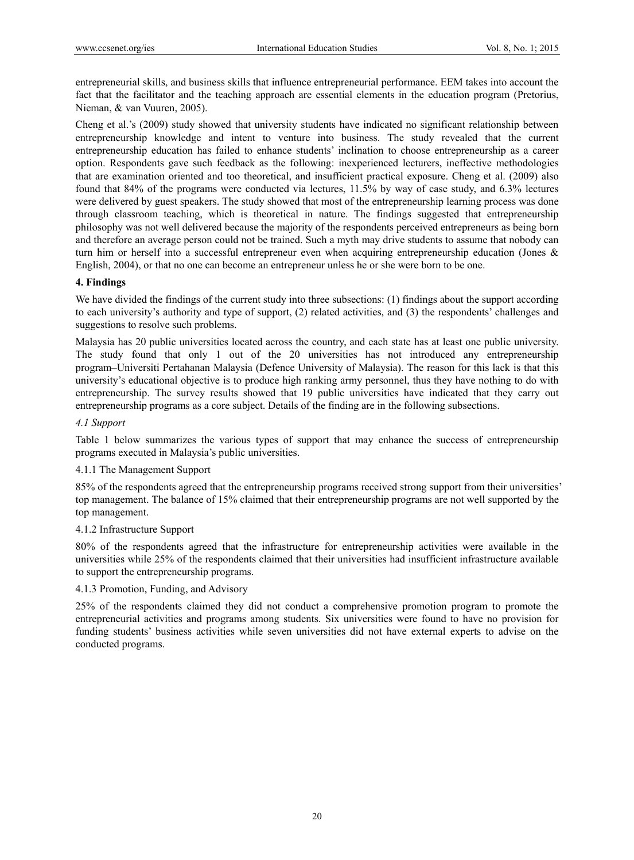entrepreneurial skills, and business skills that influence entrepreneurial performance. EEM takes into account the fact that the facilitator and the teaching approach are essential elements in the education program (Pretorius, Nieman, & van Vuuren, 2005).

Cheng et al.'s (2009) study showed that university students have indicated no significant relationship between entrepreneurship knowledge and intent to venture into business. The study revealed that the current entrepreneurship education has failed to enhance students' inclination to choose entrepreneurship as a career option. Respondents gave such feedback as the following: inexperienced lecturers, ineffective methodologies that are examination oriented and too theoretical, and insufficient practical exposure. Cheng et al. (2009) also found that 84% of the programs were conducted via lectures, 11.5% by way of case study, and 6.3% lectures were delivered by guest speakers. The study showed that most of the entrepreneurship learning process was done through classroom teaching, which is theoretical in nature. The findings suggested that entrepreneurship philosophy was not well delivered because the majority of the respondents perceived entrepreneurs as being born and therefore an average person could not be trained. Such a myth may drive students to assume that nobody can turn him or herself into a successful entrepreneur even when acquiring entrepreneurship education (Jones & English, 2004), or that no one can become an entrepreneur unless he or she were born to be one.

# **4. Findings**

We have divided the findings of the current study into three subsections: (1) findings about the support according to each university's authority and type of support, (2) related activities, and (3) the respondents' challenges and suggestions to resolve such problems.

Malaysia has 20 public universities located across the country, and each state has at least one public university. The study found that only 1 out of the 20 universities has not introduced any entrepreneurship program–Universiti Pertahanan Malaysia (Defence University of Malaysia). The reason for this lack is that this university's educational objective is to produce high ranking army personnel, thus they have nothing to do with entrepreneurship. The survey results showed that 19 public universities have indicated that they carry out entrepreneurship programs as a core subject. Details of the finding are in the following subsections.

# *4.1 Support*

Table 1 below summarizes the various types of support that may enhance the success of entrepreneurship programs executed in Malaysia's public universities.

# 4.1.1 The Management Support

85% of the respondents agreed that the entrepreneurship programs received strong support from their universities' top management. The balance of 15% claimed that their entrepreneurship programs are not well supported by the top management.

#### 4.1.2 Infrastructure Support

80% of the respondents agreed that the infrastructure for entrepreneurship activities were available in the universities while 25% of the respondents claimed that their universities had insufficient infrastructure available to support the entrepreneurship programs.

#### 4.1.3 Promotion, Funding, and Advisory

25% of the respondents claimed they did not conduct a comprehensive promotion program to promote the entrepreneurial activities and programs among students. Six universities were found to have no provision for funding students' business activities while seven universities did not have external experts to advise on the conducted programs.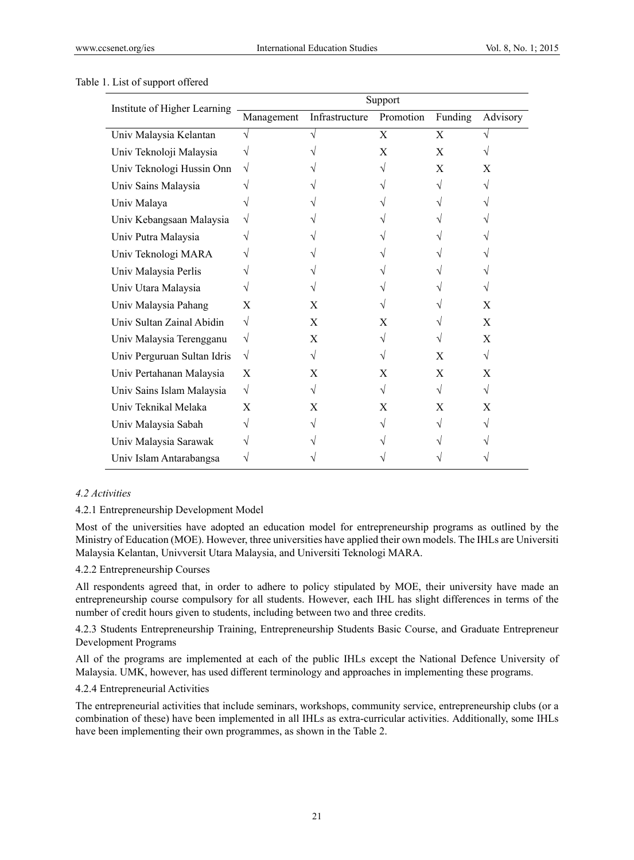| Institute of Higher Learning | Support    |                |           |         |           |
|------------------------------|------------|----------------|-----------|---------|-----------|
|                              | Management | Infrastructure | Promotion | Funding | Advisory  |
| Univ Malaysia Kelantan       |            |                | X         | X       |           |
| Univ Teknoloji Malaysia      |            |                | X         | X       |           |
| Univ Teknologi Hussin Onn    | V          |                |           | X       | X         |
| Univ Sains Malaysia          |            |                |           |         |           |
| Univ Malaya                  |            |                |           |         |           |
| Univ Kebangsaan Malaysia     | V          |                |           |         |           |
| Univ Putra Malaysia          |            |                |           |         |           |
| Univ Teknologi MARA          |            |                |           |         |           |
| Univ Malaysia Perlis         |            |                |           |         |           |
| Univ Utara Malaysia          |            |                |           |         |           |
| Univ Malaysia Pahang         | X          | X              |           |         | X         |
| Univ Sultan Zainal Abidin    | V          | X              | X         |         | X         |
| Univ Malaysia Terengganu     | V          | X              |           |         | X         |
| Univ Perguruan Sultan Idris  | $\sqrt{}$  | $\sqrt{}$      |           | X       | $\sqrt{}$ |
| Univ Pertahanan Malaysia     | X          | X              | X         | X       | X         |
| Univ Sains Islam Malaysia    | $\sqrt{}$  | V              | V         | V       | V         |
| Univ Teknikal Melaka         | X          | X              | X         | X       | X         |
| Univ Malaysia Sabah          |            |                |           |         |           |
| Univ Malaysia Sarawak        |            |                |           |         |           |
| Univ Islam Antarabangsa      |            |                |           |         |           |

# Table 1. List of support offered

# *4.2 Activities*

# 4.2.1 Entrepreneurship Development Model

Most of the universities have adopted an education model for entrepreneurship programs as outlined by the Ministry of Education (MOE). However, three universities have applied their own models. The IHLs are Universiti Malaysia Kelantan, Univversit Utara Malaysia, and Universiti Teknologi MARA.

# 4.2.2 Entrepreneurship Courses

All respondents agreed that, in order to adhere to policy stipulated by MOE, their university have made an entrepreneurship course compulsory for all students. However, each IHL has slight differences in terms of the number of credit hours given to students, including between two and three credits.

4.2.3 Students Entrepreneurship Training, Entrepreneurship Students Basic Course, and Graduate Entrepreneur Development Programs

All of the programs are implemented at each of the public IHLs except the National Defence University of Malaysia. UMK, however, has used different terminology and approaches in implementing these programs.

# 4.2.4 Entrepreneurial Activities

The entrepreneurial activities that include seminars, workshops, community service, entrepreneurship clubs (or a combination of these) have been implemented in all IHLs as extra-curricular activities. Additionally, some IHLs have been implementing their own programmes, as shown in the Table 2.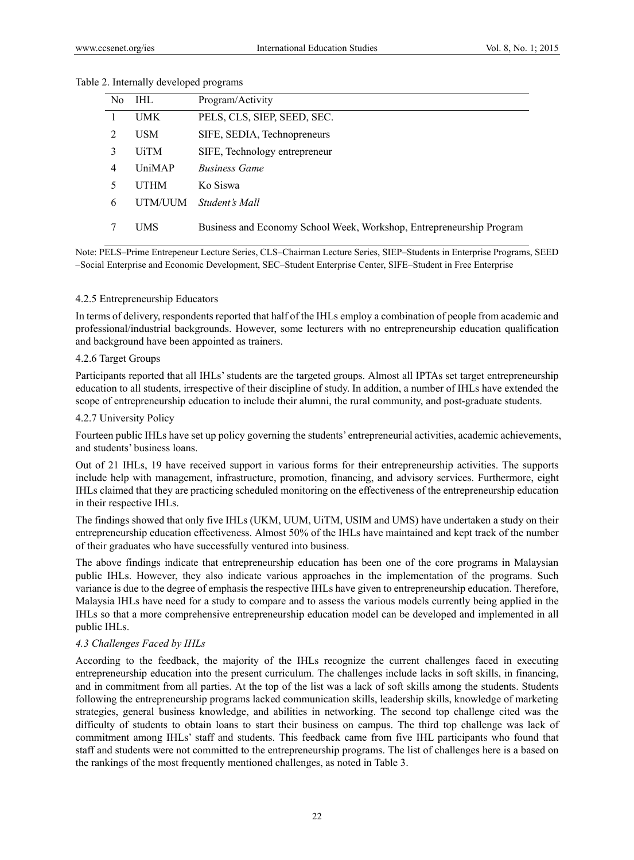| N <sub>0</sub> | IHL            | Program/Activity                                                     |
|----------------|----------------|----------------------------------------------------------------------|
|                | UMK            | PELS, CLS, SIEP, SEED, SEC.                                          |
|                | <b>USM</b>     | SIFE, SEDIA, Technopreneurs                                          |
| 3              | UiTM           | SIFE, Technology entrepreneur                                        |
| 4              | <b>UniMAP</b>  | <b>Business Game</b>                                                 |
|                | UTHM           | Ko Siswa                                                             |
| 6              | <b>UTM/UUM</b> | Student's Mall                                                       |
|                | UMS            | Business and Economy School Week, Workshop, Entrepreneurship Program |

#### Table 2. Internally developed programs

Note: PELS–Prime Entrepeneur Lecture Series, CLS–Chairman Lecture Series, SIEP–Students in Enterprise Programs, SEED –Social Enterprise and Economic Development, SEC–Student Enterprise Center, SIFE–Student in Free Enterprise

#### 4.2.5 Entrepreneurship Educators

In terms of delivery, respondents reported that half of the IHLs employ a combination of people from academic and professional/industrial backgrounds. However, some lecturers with no entrepreneurship education qualification and background have been appointed as trainers.

#### 4.2.6 Target Groups

Participants reported that all IHLs' students are the targeted groups. Almost all IPTAs set target entrepreneurship education to all students, irrespective of their discipline of study. In addition, a number of IHLs have extended the scope of entrepreneurship education to include their alumni, the rural community, and post-graduate students.

#### 4.2.7 University Policy

Fourteen public IHLs have set up policy governing the students' entrepreneurial activities, academic achievements, and students' business loans.

Out of 21 IHLs, 19 have received support in various forms for their entrepreneurship activities. The supports include help with management, infrastructure, promotion, financing, and advisory services. Furthermore, eight IHLs claimed that they are practicing scheduled monitoring on the effectiveness of the entrepreneurship education in their respective IHLs.

The findings showed that only five IHLs (UKM, UUM, UiTM, USIM and UMS) have undertaken a study on their entrepreneurship education effectiveness. Almost 50% of the IHLs have maintained and kept track of the number of their graduates who have successfully ventured into business.

The above findings indicate that entrepreneurship education has been one of the core programs in Malaysian public IHLs. However, they also indicate various approaches in the implementation of the programs. Such variance is due to the degree of emphasis the respective IHLs have given to entrepreneurship education. Therefore, Malaysia IHLs have need for a study to compare and to assess the various models currently being applied in the IHLs so that a more comprehensive entrepreneurship education model can be developed and implemented in all public IHLs.

# *4.3 Challenges Faced by IHLs*

According to the feedback, the majority of the IHLs recognize the current challenges faced in executing entrepreneurship education into the present curriculum. The challenges include lacks in soft skills, in financing, and in commitment from all parties. At the top of the list was a lack of soft skills among the students. Students following the entrepreneurship programs lacked communication skills, leadership skills, knowledge of marketing strategies, general business knowledge, and abilities in networking. The second top challenge cited was the difficulty of students to obtain loans to start their business on campus. The third top challenge was lack of commitment among IHLs' staff and students. This feedback came from five IHL participants who found that staff and students were not committed to the entrepreneurship programs. The list of challenges here is a based on the rankings of the most frequently mentioned challenges, as noted in Table 3.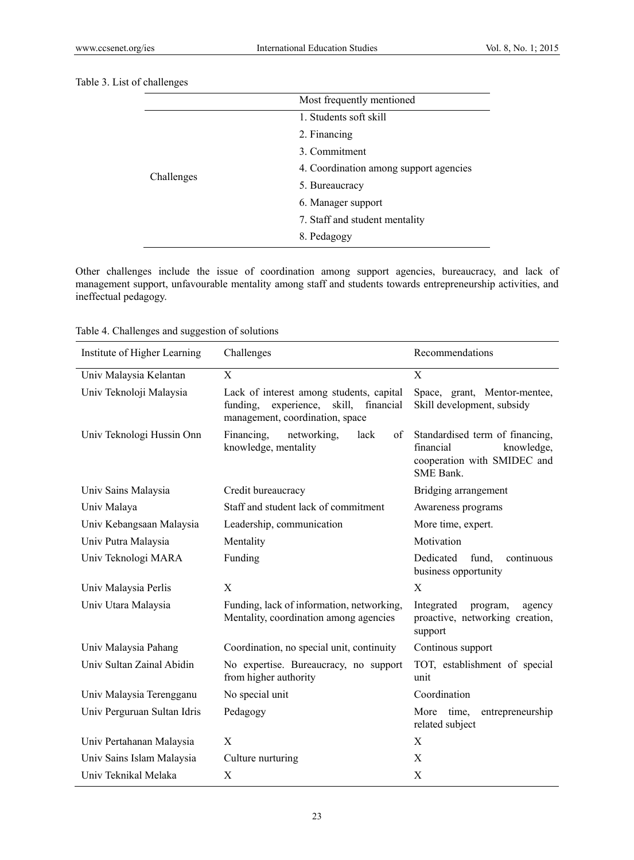|            | Most frequently mentioned              |
|------------|----------------------------------------|
| Challenges | 1. Students soft skill                 |
|            | 2. Financing                           |
|            | 3. Commitment                          |
|            | 4. Coordination among support agencies |
|            | 5. Bureaucracy                         |
|            | 6. Manager support                     |
|            | 7. Staff and student mentality         |
|            | 8. Pedagogy                            |

Table 3. List of challenges

Other challenges include the issue of coordination among support agencies, bureaucracy, and lack of management support, unfavourable mentality among staff and students towards entrepreneurship activities, and ineffectual pedagogy.

Table 4. Challenges and suggestion of solutions

| Institute of Higher Learning | Challenges                                                                                                                    | Recommendations                                                                                               |  |
|------------------------------|-------------------------------------------------------------------------------------------------------------------------------|---------------------------------------------------------------------------------------------------------------|--|
| Univ Malaysia Kelantan       | $\mathbf X$                                                                                                                   | X                                                                                                             |  |
| Univ Teknoloji Malaysia      | Lack of interest among students, capital<br>funding.<br>experience,<br>skill,<br>financial<br>management, coordination, space | Space, grant, Mentor-mentee,<br>Skill development, subsidy                                                    |  |
| Univ Teknologi Hussin Onn    | Financing,<br>networking.<br>of<br>lack<br>knowledge, mentality                                                               | Standardised term of financing,<br>knowledge,<br>financial<br>cooperation with SMIDEC and<br><b>SME Bank.</b> |  |
| Univ Sains Malaysia          | Credit bureaucracy                                                                                                            | Bridging arrangement                                                                                          |  |
| Univ Malaya                  | Staff and student lack of commitment                                                                                          | Awareness programs                                                                                            |  |
| Univ Kebangsaan Malaysia     | Leadership, communication                                                                                                     | More time, expert.                                                                                            |  |
| Univ Putra Malaysia          | Mentality                                                                                                                     | Motivation                                                                                                    |  |
| Univ Teknologi MARA          | Funding                                                                                                                       | Dedicated<br>continuous<br>fund,<br>business opportunity                                                      |  |
| Univ Malaysia Perlis         | X                                                                                                                             | X                                                                                                             |  |
| Univ Utara Malaysia          | Funding, lack of information, networking,<br>Mentality, coordination among agencies                                           | Integrated<br>program,<br>agency<br>proactive, networking creation,<br>support                                |  |
| Univ Malaysia Pahang         | Coordination, no special unit, continuity                                                                                     | Continous support                                                                                             |  |
| Univ Sultan Zainal Abidin    | No expertise. Bureaucracy, no support<br>from higher authority                                                                | TOT, establishment of special<br>unit                                                                         |  |
| Univ Malaysia Terengganu     | No special unit                                                                                                               | Coordination                                                                                                  |  |
| Univ Perguruan Sultan Idris  | Pedagogy                                                                                                                      | More time,<br>entrepreneurship<br>related subject                                                             |  |
| Univ Pertahanan Malaysia     | X                                                                                                                             | X                                                                                                             |  |
| Univ Sains Islam Malaysia    | Culture nurturing                                                                                                             | X                                                                                                             |  |
| Univ Teknikal Melaka         | $\mathbf X$                                                                                                                   | X                                                                                                             |  |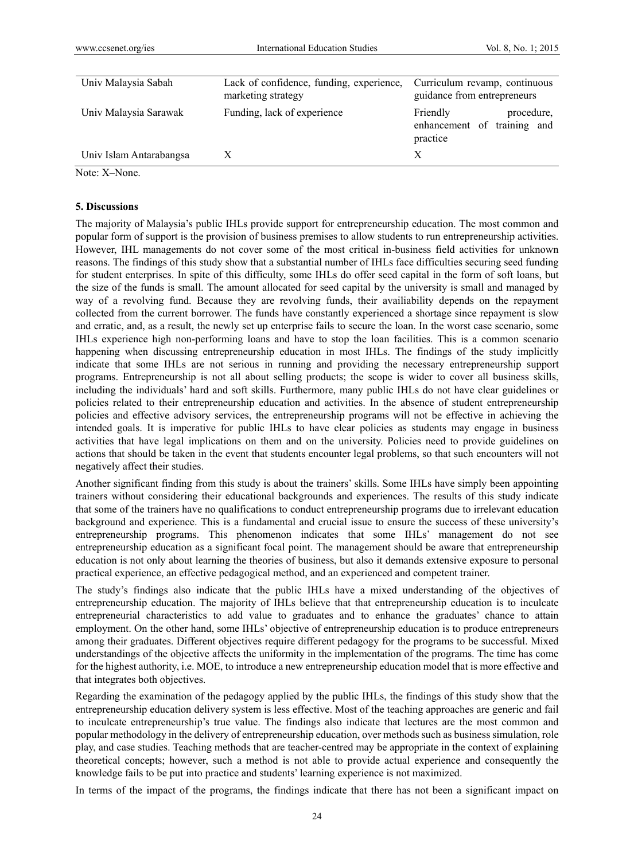| Univ Malaysia Sabah     | Lack of confidence, funding, experience,<br>marketing strategy | Curriculum revamp, continuous<br>guidance from entrepreneurs      |
|-------------------------|----------------------------------------------------------------|-------------------------------------------------------------------|
| Univ Malaysia Sarawak   | Funding, lack of experience                                    | Friendly<br>procedure,<br>enhancement of training and<br>practice |
| Univ Islam Antarabangsa |                                                                |                                                                   |

Note: X–None.

#### **5. Discussions**

The majority of Malaysia's public IHLs provide support for entrepreneurship education. The most common and popular form of support is the provision of business premises to allow students to run entrepreneurship activities. However, IHL managements do not cover some of the most critical in-business field activities for unknown reasons. The findings of this study show that a substantial number of IHLs face difficulties securing seed funding for student enterprises. In spite of this difficulty, some IHLs do offer seed capital in the form of soft loans, but the size of the funds is small. The amount allocated for seed capital by the university is small and managed by way of a revolving fund. Because they are revolving funds, their availiability depends on the repayment collected from the current borrower. The funds have constantly experienced a shortage since repayment is slow and erratic, and, as a result, the newly set up enterprise fails to secure the loan. In the worst case scenario, some IHLs experience high non-performing loans and have to stop the loan facilities. This is a common scenario happening when discussing entrepreneurship education in most IHLs. The findings of the study implicitly indicate that some IHLs are not serious in running and providing the necessary entrepreneurship support programs. Entrepreneurship is not all about selling products; the scope is wider to cover all business skills, including the individuals' hard and soft skills. Furthermore, many public IHLs do not have clear guidelines or policies related to their entrepreneurship education and activities. In the absence of student entrepreneurship policies and effective advisory services, the entrepreneurship programs will not be effective in achieving the intended goals. It is imperative for public IHLs to have clear policies as students may engage in business activities that have legal implications on them and on the university. Policies need to provide guidelines on actions that should be taken in the event that students encounter legal problems, so that such encounters will not negatively affect their studies.

Another significant finding from this study is about the trainers' skills. Some IHLs have simply been appointing trainers without considering their educational backgrounds and experiences. The results of this study indicate that some of the trainers have no qualifications to conduct entrepreneurship programs due to irrelevant education background and experience. This is a fundamental and crucial issue to ensure the success of these university's entrepreneurship programs. This phenomenon indicates that some IHLs' management do not see entrepreneurship education as a significant focal point. The management should be aware that entrepreneurship education is not only about learning the theories of business, but also it demands extensive exposure to personal practical experience, an effective pedagogical method, and an experienced and competent trainer.

The study's findings also indicate that the public IHLs have a mixed understanding of the objectives of entrepreneurship education. The majority of IHLs believe that that entrepreneurship education is to inculcate entrepreneurial characteristics to add value to graduates and to enhance the graduates' chance to attain employment. On the other hand, some IHLs' objective of entrepreneurship education is to produce entrepreneurs among their graduates. Different objectives require different pedagogy for the programs to be successful. Mixed understandings of the objective affects the uniformity in the implementation of the programs. The time has come for the highest authority, i.e. MOE, to introduce a new entrepreneurship education model that is more effective and that integrates both objectives.

Regarding the examination of the pedagogy applied by the public IHLs, the findings of this study show that the entrepreneurship education delivery system is less effective. Most of the teaching approaches are generic and fail to inculcate entrepreneurship's true value. The findings also indicate that lectures are the most common and popular methodology in the delivery of entrepreneurship education, over methods such as business simulation, role play, and case studies. Teaching methods that are teacher-centred may be appropriate in the context of explaining theoretical concepts; however, such a method is not able to provide actual experience and consequently the knowledge fails to be put into practice and students' learning experience is not maximized.

In terms of the impact of the programs, the findings indicate that there has not been a significant impact on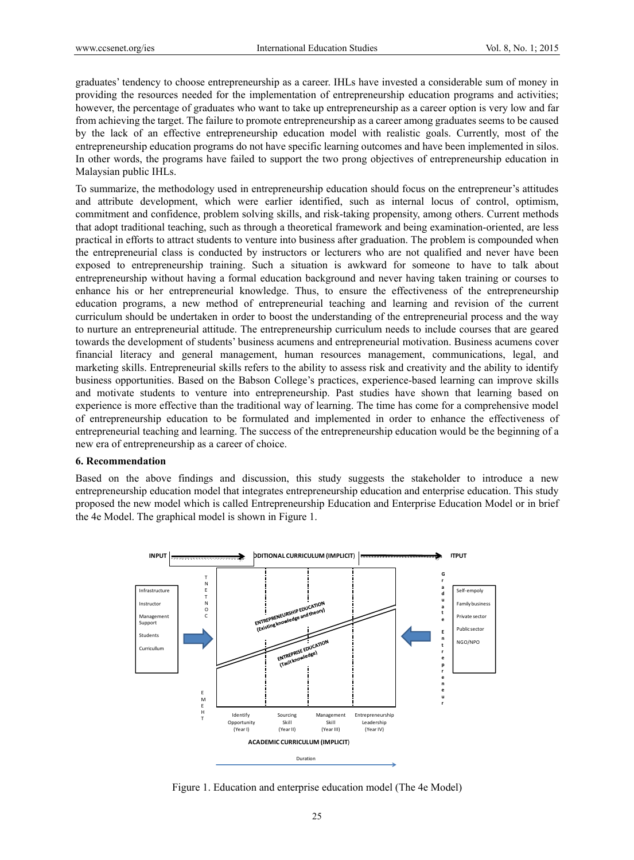graduates' tendency to choose entrepreneurship as a career. IHLs have invested a considerable sum of money in providing the resources needed for the implementation of entrepreneurship education programs and activities; however, the percentage of graduates who want to take up entrepreneurship as a career option is very low and far from achieving the target. The failure to promote entrepreneurship as a career among graduates seems to be caused by the lack of an effective entrepreneurship education model with realistic goals. Currently, most of the entrepreneurship education programs do not have specific learning outcomes and have been implemented in silos. In other words, the programs have failed to support the two prong objectives of entrepreneurship education in Malaysian public IHLs.

To summarize, the methodology used in entrepreneurship education should focus on the entrepreneur's attitudes and attribute development, which were earlier identified, such as internal locus of control, optimism, commitment and confidence, problem solving skills, and risk-taking propensity, among others. Current methods that adopt traditional teaching, such as through a theoretical framework and being examination-oriented, are less practical in efforts to attract students to venture into business after graduation. The problem is compounded when the entrepreneurial class is conducted by instructors or lecturers who are not qualified and never have been exposed to entrepreneurship training. Such a situation is awkward for someone to have to talk about entrepreneurship without having a formal education background and never having taken training or courses to enhance his or her entrepreneurial knowledge. Thus, to ensure the effectiveness of the entrepreneurship education programs, a new method of entrepreneurial teaching and learning and revision of the current curriculum should be undertaken in order to boost the understanding of the entrepreneurial process and the way to nurture an entrepreneurial attitude. The entrepreneurship curriculum needs to include courses that are geared towards the development of students' business acumens and entrepreneurial motivation. Business acumens cover financial literacy and general management, human resources management, communications, legal, and marketing skills. Entrepreneurial skills refers to the ability to assess risk and creativity and the ability to identify business opportunities. Based on the Babson College's practices, experience-based learning can improve skills and motivate students to venture into entrepreneurship. Past studies have shown that learning based on experience is more effective than the traditional way of learning. The time has come for a comprehensive model of entrepreneurship education to be formulated and implemented in order to enhance the effectiveness of entrepreneurial teaching and learning. The success of the entrepreneurship education would be the beginning of a new era of entrepreneurship as a career of choice.

#### **6. Recommendation**

Based on the above findings and discussion, this study suggests the stakeholder to introduce a new entrepreneurship education model that integrates entrepreneurship education and enterprise education. This study proposed the new model which is called Entrepreneurship Education and Enterprise Education Model or in brief the 4e Model. The graphical model is shown in Figure 1.



Figure 1. Education and enterprise education model (The 4e Model)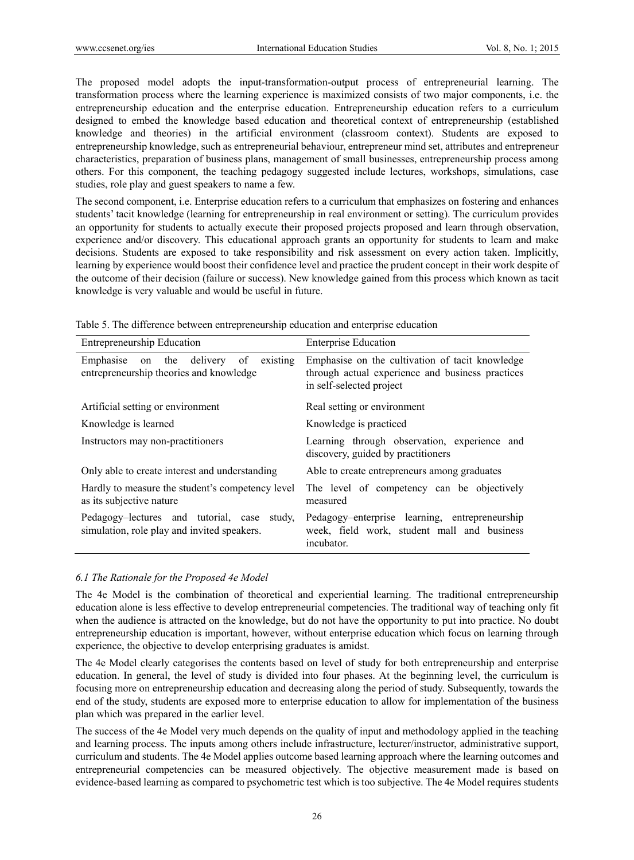The proposed model adopts the input-transformation-output process of entrepreneurial learning. The transformation process where the learning experience is maximized consists of two major components, i.e. the entrepreneurship education and the enterprise education. Entrepreneurship education refers to a curriculum designed to embed the knowledge based education and theoretical context of entrepreneurship (established knowledge and theories) in the artificial environment (classroom context). Students are exposed to entrepreneurship knowledge, such as entrepreneurial behaviour, entrepreneur mind set, attributes and entrepreneur characteristics, preparation of business plans, management of small businesses, entrepreneurship process among others. For this component, the teaching pedagogy suggested include lectures, workshops, simulations, case studies, role play and guest speakers to name a few.

The second component, i.e. Enterprise education refers to a curriculum that emphasizes on fostering and enhances students' tacit knowledge (learning for entrepreneurship in real environment or setting). The curriculum provides an opportunity for students to actually execute their proposed projects proposed and learn through observation, experience and/or discovery. This educational approach grants an opportunity for students to learn and make decisions. Students are exposed to take responsibility and risk assessment on every action taken. Implicitly, learning by experience would boost their confidence level and practice the prudent concept in their work despite of the outcome of their decision (failure or success). New knowledge gained from this process which known as tacit knowledge is very valuable and would be useful in future.

| <b>Entrepreneurship Education</b>                                                             | <b>Enterprise Education</b>                                                                                                     |  |
|-----------------------------------------------------------------------------------------------|---------------------------------------------------------------------------------------------------------------------------------|--|
| of<br>delivery<br>existing<br>Emphasise<br>on the<br>entrepreneurship theories and knowledge  | Emphasise on the cultivation of tacit knowledge<br>through actual experience and business practices<br>in self-selected project |  |
| Artificial setting or environment                                                             | Real setting or environment                                                                                                     |  |
| Knowledge is learned                                                                          | Knowledge is practiced                                                                                                          |  |
| Instructors may non-practitioners                                                             | Learning through observation, experience and<br>discovery, guided by practitioners                                              |  |
| Only able to create interest and understanding                                                | Able to create entrepreneurs among graduates                                                                                    |  |
| Hardly to measure the student's competency level<br>as its subjective nature                  | The level of competency can be objectively<br>measured                                                                          |  |
| Pedagogy-lectures and tutorial, case<br>study,<br>simulation, role play and invited speakers. | Pedagogy-enterprise learning, entrepreneurship<br>week, field work, student mall and business<br>incubator.                     |  |

Table 5. The difference between entrepreneurship education and enterprise education

# *6.1 The Rationale for the Proposed 4e Model*

The 4e Model is the combination of theoretical and experiential learning. The traditional entrepreneurship education alone is less effective to develop entrepreneurial competencies. The traditional way of teaching only fit when the audience is attracted on the knowledge, but do not have the opportunity to put into practice. No doubt entrepreneurship education is important, however, without enterprise education which focus on learning through experience, the objective to develop enterprising graduates is amidst.

The 4e Model clearly categorises the contents based on level of study for both entrepreneurship and enterprise education. In general, the level of study is divided into four phases. At the beginning level, the curriculum is focusing more on entrepreneurship education and decreasing along the period of study. Subsequently, towards the end of the study, students are exposed more to enterprise education to allow for implementation of the business plan which was prepared in the earlier level.

The success of the 4e Model very much depends on the quality of input and methodology applied in the teaching and learning process. The inputs among others include infrastructure, lecturer/instructor, administrative support, curriculum and students. The 4e Model applies outcome based learning approach where the learning outcomes and entrepreneurial competencies can be measured objectively. The objective measurement made is based on evidence-based learning as compared to psychometric test which is too subjective. The 4e Model requires students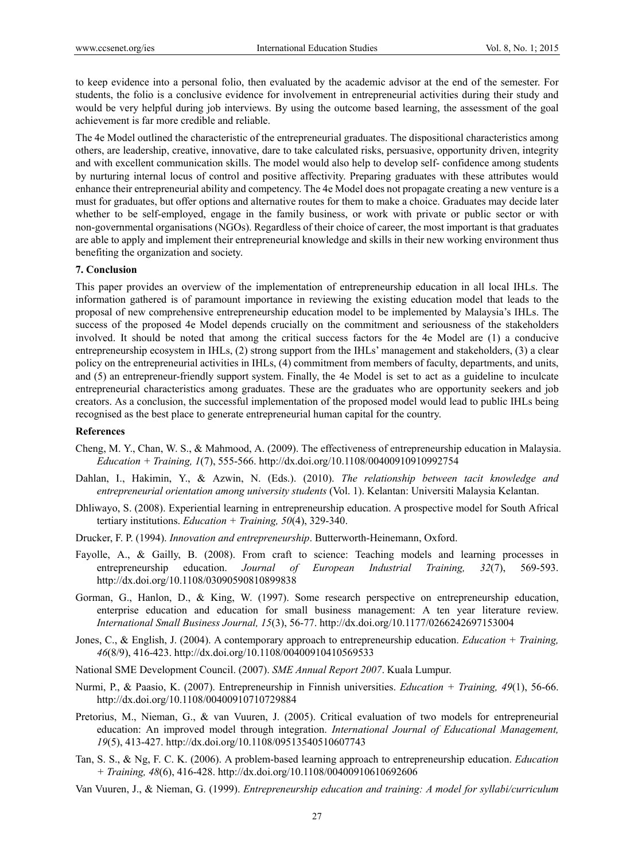to keep evidence into a personal folio, then evaluated by the academic advisor at the end of the semester. For students, the folio is a conclusive evidence for involvement in entrepreneurial activities during their study and would be very helpful during job interviews. By using the outcome based learning, the assessment of the goal achievement is far more credible and reliable.

The 4e Model outlined the characteristic of the entrepreneurial graduates. The dispositional characteristics among others, are leadership, creative, innovative, dare to take calculated risks, persuasive, opportunity driven, integrity and with excellent communication skills. The model would also help to develop self- confidence among students by nurturing internal locus of control and positive affectivity. Preparing graduates with these attributes would enhance their entrepreneurial ability and competency. The 4e Model does not propagate creating a new venture is a must for graduates, but offer options and alternative routes for them to make a choice. Graduates may decide later whether to be self-employed, engage in the family business, or work with private or public sector or with non-governmental organisations (NGOs). Regardless of their choice of career, the most important is that graduates are able to apply and implement their entrepreneurial knowledge and skills in their new working environment thus benefiting the organization and society.

#### **7. Conclusion**

This paper provides an overview of the implementation of entrepreneurship education in all local IHLs. The information gathered is of paramount importance in reviewing the existing education model that leads to the proposal of new comprehensive entrepreneurship education model to be implemented by Malaysia's IHLs. The success of the proposed 4e Model depends crucially on the commitment and seriousness of the stakeholders involved. It should be noted that among the critical success factors for the 4e Model are (1) a conducive entrepreneurship ecosystem in IHLs, (2) strong support from the IHLs' management and stakeholders, (3) a clear policy on the entrepreneurial activities in IHLs, (4) commitment from members of faculty, departments, and units, and (5) an entrepreneur-friendly support system. Finally, the 4e Model is set to act as a guideline to inculcate entrepreneurial characteristics among graduates. These are the graduates who are opportunity seekers and job creators. As a conclusion, the successful implementation of the proposed model would lead to public IHLs being recognised as the best place to generate entrepreneurial human capital for the country.

#### **References**

- Cheng, M. Y., Chan, W. S., & Mahmood, A. (2009). The effectiveness of entrepreneurship education in Malaysia. *Education + Training, 1*(7), 555-566. http://dx.doi.org/10.1108/00400910910992754
- Dahlan, I., Hakimin, Y., & Azwin, N. (Eds.). (2010). *The relationship between tacit knowledge and entrepreneurial orientation among university students* (Vol. 1). Kelantan: Universiti Malaysia Kelantan.
- Dhliwayo, S. (2008). Experiential learning in entrepreneurship education. A prospective model for South Africal tertiary institutions. *Education + Training, 50*(4), 329-340.
- Drucker, F. P. (1994). *Innovation and entrepreneurship*. Butterworth-Heinemann, Oxford.
- Fayolle, A., & Gailly, B. (2008). From craft to science: Teaching models and learning processes in entrepreneurship education. *Journal of European Industrial Training, 32*(7), 569-593. http://dx.doi.org/10.1108/03090590810899838
- Gorman, G., Hanlon, D., & King, W. (1997). Some research perspective on entrepreneurship education, enterprise education and education for small business management: A ten year literature review. *International Small Business Journal, 15*(3), 56-77. http://dx.doi.org/10.1177/0266242697153004
- Jones, C., & English, J. (2004). A contemporary approach to entrepreneurship education. *Education + Training, 46*(8/9), 416-423. http://dx.doi.org/10.1108/00400910410569533
- National SME Development Council. (2007). *SME Annual Report 2007*. Kuala Lumpur.
- Nurmi, P., & Paasio, K. (2007). Entrepreneurship in Finnish universities. *Education + Training, 49*(1), 56-66. http://dx.doi.org/10.1108/00400910710729884
- Pretorius, M., Nieman, G., & van Vuuren, J. (2005). Critical evaluation of two models for entrepreneurial education: An improved model through integration. *International Journal of Educational Management, 19*(5), 413-427. http://dx.doi.org/10.1108/09513540510607743
- Tan, S. S., & Ng, F. C. K. (2006). A problem-based learning approach to entrepreneurship education. *Education + Training, 48*(6), 416-428. http://dx.doi.org/10.1108/00400910610692606
- Van Vuuren, J., & Nieman, G. (1999). *Entrepreneurship education and training: A model for syllabi/curriculum*